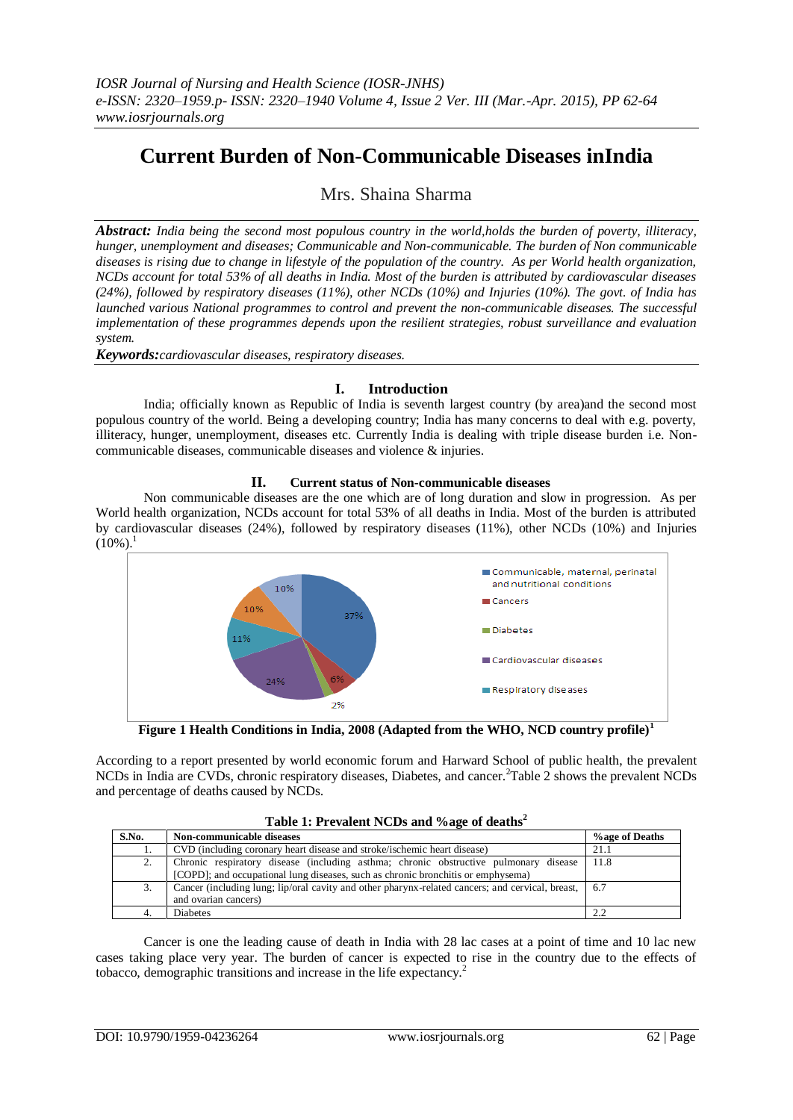# **Current Burden of Non-Communicable Diseases inIndia**

## Mrs. Shaina Sharma

*Abstract: India being the second most populous country in the world,holds the burden of poverty, illiteracy, hunger, unemployment and diseases; Communicable and Non-communicable. The burden of Non communicable diseases is rising due to change in lifestyle of the population of the country. As per World health organization, NCDs account for total 53% of all deaths in India. Most of the burden is attributed by cardiovascular diseases (24%), followed by respiratory diseases (11%), other NCDs (10%) and Injuries (10%). The govt. of India has launched various National programmes to control and prevent the non-communicable diseases. The successful implementation of these programmes depends upon the resilient strategies, robust surveillance and evaluation system.* 

*Keywords:cardiovascular diseases, respiratory diseases.*

### **I. Introduction**

India; officially known as Republic of India is seventh largest country (by area)and the second most populous country of the world. Being a developing country; India has many concerns to deal with e.g. poverty, illiteracy, hunger, unemployment, diseases etc. Currently India is dealing with triple disease burden i.e. Noncommunicable diseases, communicable diseases and violence & injuries.

#### **II. Current status of Non-communicable diseases**

Non communicable diseases are the one which are of long duration and slow in progression. As per World health organization, NCDs account for total 53% of all deaths in India. Most of the burden is attributed by cardiovascular diseases (24%), followed by respiratory diseases (11%), other NCDs (10%) and Injuries  $(10\%)$ <sup>1</sup>



**Figure 1 Health Conditions in India, 2008 (Adapted from the WHO, NCD country profile)<sup>1</sup>**

According to a report presented by world economic forum and Harward School of public health, the prevalent NCDs in India are CVDs, chronic respiratory diseases, Diabetes, and cancer.<sup>2</sup>Table 2 shows the prevalent NCDs and percentage of deaths caused by NCDs.

|  | Table 1: Prevalent NCDs and %age of deaths <sup>2</sup> |  |
|--|---------------------------------------------------------|--|
|  |                                                         |  |

| S.No. | Non-communicable diseases                                                                                                                                                | %age of Deaths |
|-------|--------------------------------------------------------------------------------------------------------------------------------------------------------------------------|----------------|
| .,    | CVD (including coronary heart disease and stroke/ischemic heart disease)                                                                                                 | 21.1           |
| 2.    | Chronic respiratory disease (including asthma; chronic obstructive pulmonary disease<br>[COPD]; and occupational lung diseases, such as chronic bronchitis or emphysema) | -11.8          |
|       |                                                                                                                                                                          |                |
| 3.    | Cancer (including lung; lip/oral cavity and other pharynx-related cancers; and cervical, breast,   6.7<br>and ovarian cancers)                                           |                |
|       |                                                                                                                                                                          |                |
| 4.    | <b>Diabetes</b>                                                                                                                                                          |                |

Cancer is one the leading cause of death in India with 28 lac cases at a point of time and 10 lac new cases taking place very year. The burden of cancer is expected to rise in the country due to the effects of tobacco, demographic transitions and increase in the life expectancy.<sup>2</sup>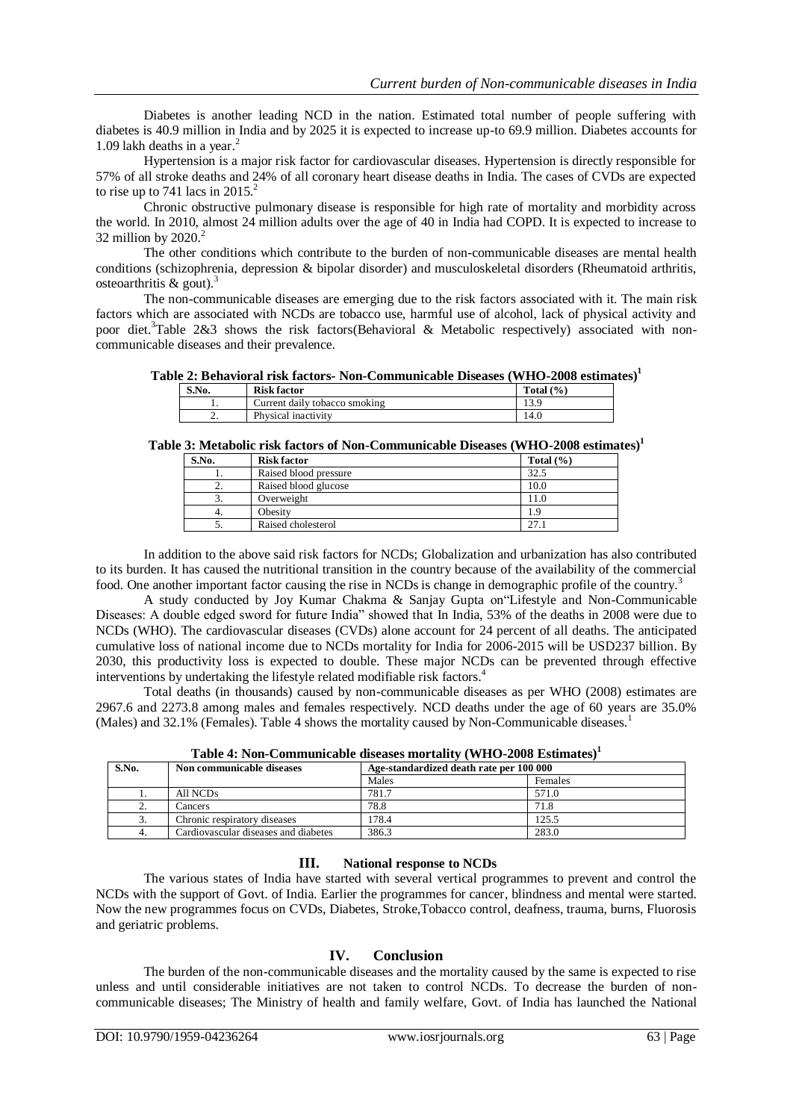Diabetes is another leading NCD in the nation. Estimated total number of people suffering with diabetes is 40.9 million in India and by 2025 it is expected to increase up-to 69.9 million. Diabetes accounts for 1.09 lakh deaths in a year. $<sup>2</sup>$ </sup>

Hypertension is a major risk factor for cardiovascular diseases. Hypertension is directly responsible for 57% of all stroke deaths and 24% of all coronary heart disease deaths in India. The cases of CVDs are expected to rise up to 741 lacs in  $2015.<sup>2</sup>$ 

Chronic obstructive pulmonary disease is responsible for high rate of mortality and morbidity across the world. In 2010, almost 24 million adults over the age of 40 in India had COPD. It is expected to increase to 32 million by  $2020.<sup>2</sup>$ 

The other conditions which contribute to the burden of non-communicable diseases are mental health conditions (schizophrenia, depression & bipolar disorder) and musculoskeletal disorders (Rheumatoid arthritis, osteoarthritis & gout).<sup>3</sup>

The non-communicable diseases are emerging due to the risk factors associated with it. The main risk factors which are associated with NCDs are tobacco use, harmful use of alcohol, lack of physical activity and poor diet.<sup>3</sup>Table 2&3 shows the risk factors(Behavioral & Metabolic respectively) associated with noncommunicable diseases and their prevalence.

#### **Table 2: Behavioral risk factors- Non-Communicable Diseases (WHO-2008 estimates)<sup>1</sup>**

| S.No.    | <b>Risk factor</b>            | Total $(\% )$ |
|----------|-------------------------------|---------------|
|          | Current daily tobacco smoking | 13.9          |
| <u>.</u> | Physical inactivity           | 14.0          |

#### **Table 3: Metabolic risk factors of Non-Communicable Diseases (WHO-2008 estimates)<sup>1</sup>**

| S.No. | <b>Risk factor</b>    | Total $(\% )$ |
|-------|-----------------------|---------------|
|       | Raised blood pressure | 32.5          |
| ٠.    | Raised blood glucose  | 10.0          |
|       | Overweight            | 11.0          |
| 4.    | Obesity               | .9            |
|       | Raised cholesterol    | つつ            |

In addition to the above said risk factors for NCDs; Globalization and urbanization has also contributed to its burden. It has caused the nutritional transition in the country because of the availability of the commercial food. One another important factor causing the rise in NCDs is change in demographic profile of the country.<sup>3</sup>

A study conducted by Joy Kumar Chakma & Sanjay Gupta on"Lifestyle and Non-Communicable Diseases: A double edged sword for future India" showed that In India, 53% of the deaths in 2008 were due to NCDs (WHO). The cardiovascular diseases (CVDs) alone account for 24 percent of all deaths. The anticipated cumulative loss of national income due to NCDs mortality for India for 2006-2015 will be USD237 billion. By 2030, this productivity loss is expected to double. These major NCDs can be prevented through effective interventions by undertaking the lifestyle related modifiable risk factors.<sup>4</sup>

Total deaths (in thousands) caused by non-communicable diseases as per WHO (2008) estimates are 2967.6 and 2273.8 among males and females respectively. NCD deaths under the age of 60 years are 35.0% (Males) and 32.1% (Females). Table 4 shows the mortality caused by Non-Communicable diseases.<sup>1</sup>

| S.No.            | Non communicable diseases            | Age-standardized death rate per 100 000 |         |
|------------------|--------------------------------------|-----------------------------------------|---------|
|                  |                                      | Males                                   | Females |
|                  | All NCDs                             | 781.7                                   | 571.0   |
| <u>.</u>         | Cancers                              | 78.8                                    | 71.8    |
| $\mathfrak{I}$ . | Chronic respiratory diseases         | 178.4                                   | 125.5   |
| 4.               | Cardiovascular diseases and diabetes | 386.3                                   | 283.0   |

**Table 4: Non-Communicable diseases mortality (WHO-2008 Estimates)<sup>1</sup>**

#### **III. National response to NCDs**

The various states of India have started with several vertical programmes to prevent and control the NCDs with the support of Govt. of India. Earlier the programmes for cancer, blindness and mental were started. Now the new programmes focus on CVDs, Diabetes, Stroke,Tobacco control, deafness, trauma, burns, Fluorosis and geriatric problems.

### **IV. Conclusion**

The burden of the non-communicable diseases and the mortality caused by the same is expected to rise unless and until considerable initiatives are not taken to control NCDs. To decrease the burden of noncommunicable diseases; The Ministry of health and family welfare, Govt. of India has launched the National